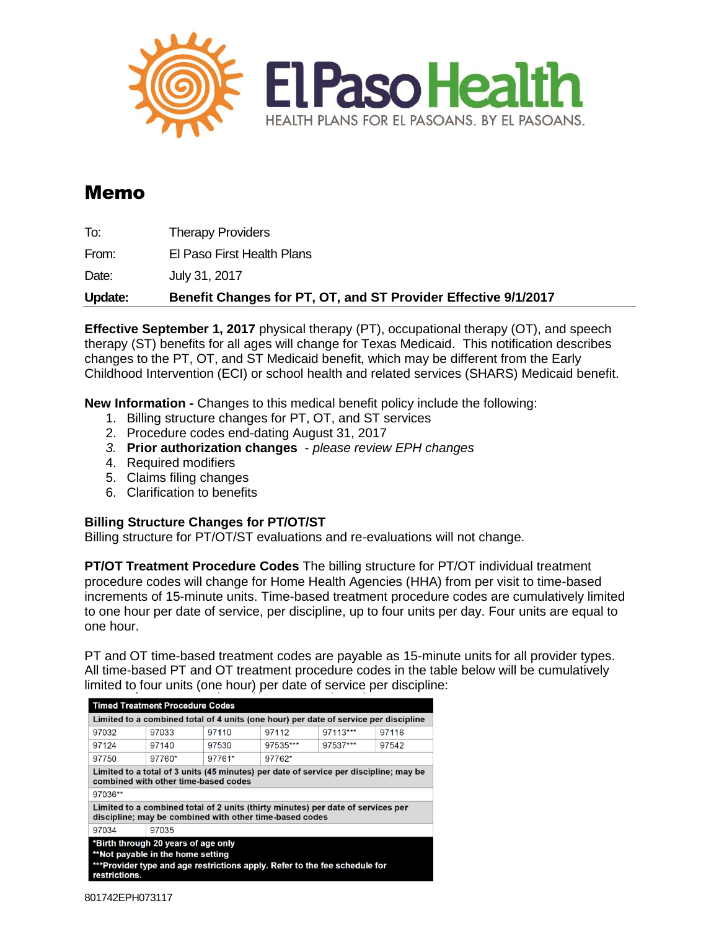

# Memo

To: Therapy Providers

From: El Paso First Health Plans

Date: July 31, 2017

**Update: Benefit Changes for PT, OT, and ST Provider Effective 9/1/2017**

**Effective September 1, 2017** physical therapy (PT), occupational therapy (OT), and speech therapy (ST) benefits for all ages will change for Texas Medicaid. This notification describes changes to the PT, OT, and ST Medicaid benefit, which may be different from the Early Childhood Intervention (ECI) or school health and related services (SHARS) Medicaid benefit.

**New Information -** Changes to this medical benefit policy include the following:

- 1. Billing structure changes for PT, OT, and ST services
- 2. Procedure codes end-dating August 31, 2017
- *3.* **Prior authorization changes** *please review EPH changes*
- 4. Required modifiers
- 5. Claims filing changes
- 6. Clarification to benefits

## **Billing Structure Changes for PT/OT/ST**

Billing structure for PT/OT/ST evaluations and re-evaluations will not change.

**PT/OT Treatment Procedure Codes** The billing structure for PT/OT individual treatment procedure codes will change for Home Health Agencies (HHA) from per visit to time-based increments of 15-minute units. Time-based treatment procedure codes are cumulatively limited to one hour per date of service, per discipline, up to four units per day. Four units are equal to one hour.

PT and OT time-based treatment codes are payable as 15-minute units for all provider types. All time-based PT and OT treatment procedure codes in the table below will be cumulatively limited to four units (one hour) per date of service per discipline:

| <b>Timed Treatment Procedure Codes</b>                                                                                                                                  |        |        |          |          |       |
|-------------------------------------------------------------------------------------------------------------------------------------------------------------------------|--------|--------|----------|----------|-------|
| Limited to a combined total of 4 units (one hour) per date of service per discipline                                                                                    |        |        |          |          |       |
| 97032                                                                                                                                                                   | 97033  | 97110  | 97112    | 97113*** | 97116 |
| 97124                                                                                                                                                                   | 97140  | 97530  | 97535*** | 97537*** | 97542 |
| 97750                                                                                                                                                                   | 97760* | 97761* | 97762*   |          |       |
| Limited to a total of 3 units (45 minutes) per date of service per discipline; may be<br>combined with other time-based codes                                           |        |        |          |          |       |
| 97036**                                                                                                                                                                 |        |        |          |          |       |
| Limited to a combined total of 2 units (thirty minutes) per date of services per<br>discipline; may be combined with other time-based codes                             |        |        |          |          |       |
| 97034                                                                                                                                                                   | 97035  |        |          |          |       |
| *Birth through 20 years of age only<br>**Not payable in the home setting<br>***Provider type and age restrictions apply. Refer to the fee schedule for<br>restrictions. |        |        |          |          |       |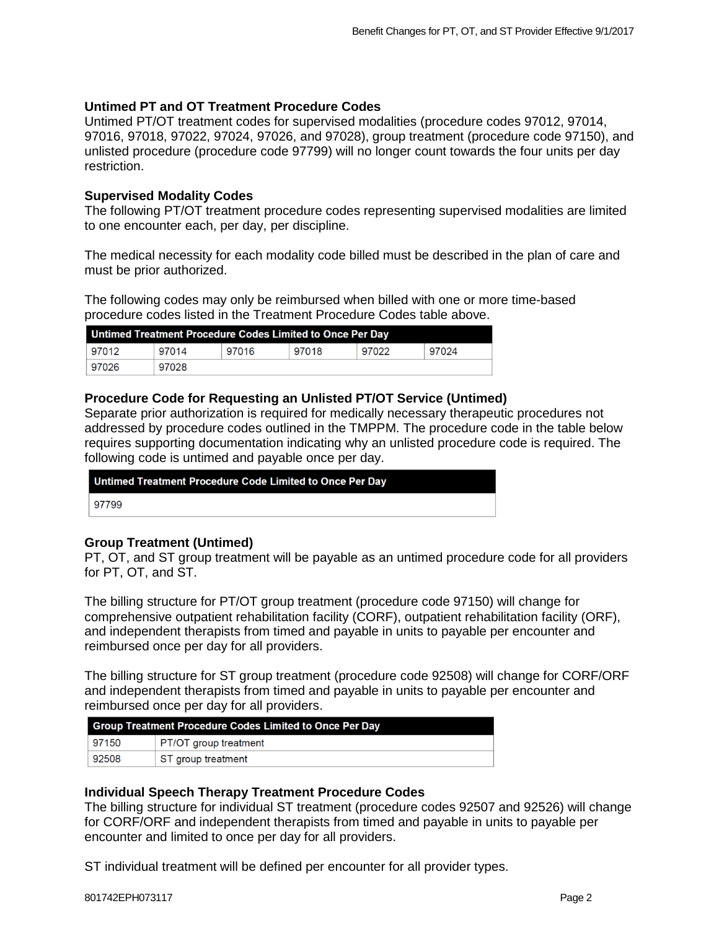#### **Untimed PT and OT Treatment Procedure Codes**

Untimed PT/OT treatment codes for supervised modalities (procedure codes 97012, 97014, 97016, 97018, 97022, 97024, 97026, and 97028), group treatment (procedure code 97150), and unlisted procedure (procedure code 97799) will no longer count towards the four units per day restriction.

#### **Supervised Modality Codes**

The following PT/OT treatment procedure codes representing supervised modalities are limited to one encounter each, per day, per discipline.

The medical necessity for each modality code billed must be described in the plan of care and must be prior authorized.

The following codes may only be reimbursed when billed with one or more time-based procedure codes listed in the Treatment Procedure Codes table above.

| Untimed Treatment Procedure Codes Limited to Once Per Day |       |       |       |       |       |
|-----------------------------------------------------------|-------|-------|-------|-------|-------|
| 97012                                                     | 97014 | 97016 | 97018 | 97022 | 97024 |
| 97026                                                     | 97028 |       |       |       |       |

## **Procedure Code for Requesting an Unlisted PT/OT Service (Untimed)**

Separate prior authorization is required for medically necessary therapeutic procedures not addressed by procedure codes outlined in the TMPPM. The procedure code in the table below requires supporting documentation indicating why an unlisted procedure code is required. The following code is untimed and payable once per day.

| Untimed Treatment Procedure Code Limited to Once Per Day |  |
|----------------------------------------------------------|--|
| 97799                                                    |  |
|                                                          |  |

#### **Group Treatment (Untimed)**

PT, OT, and ST group treatment will be payable as an untimed procedure code for all providers for PT, OT, and ST.

The billing structure for PT/OT group treatment (procedure code 97150) will change for comprehensive outpatient rehabilitation facility (CORF), outpatient rehabilitation facility (ORF), and independent therapists from timed and payable in units to payable per encounter and reimbursed once per day for all providers.

The billing structure for ST group treatment (procedure code 92508) will change for CORF/ORF and independent therapists from timed and payable in units to payable per encounter and reimbursed once per day for all providers.

| <b>Group Treatment Procedure Codes Limited to Once Per Day</b> |                       |  |
|----------------------------------------------------------------|-----------------------|--|
| 97150                                                          | PT/OT group treatment |  |
| 92508                                                          | ST group treatment    |  |

#### **Individual Speech Therapy Treatment Procedure Codes**

The billing structure for individual ST treatment (procedure codes 92507 and 92526) will change for CORF/ORF and independent therapists from timed and payable in units to payable per encounter and limited to once per day for all providers.

ST individual treatment will be defined per encounter for all provider types.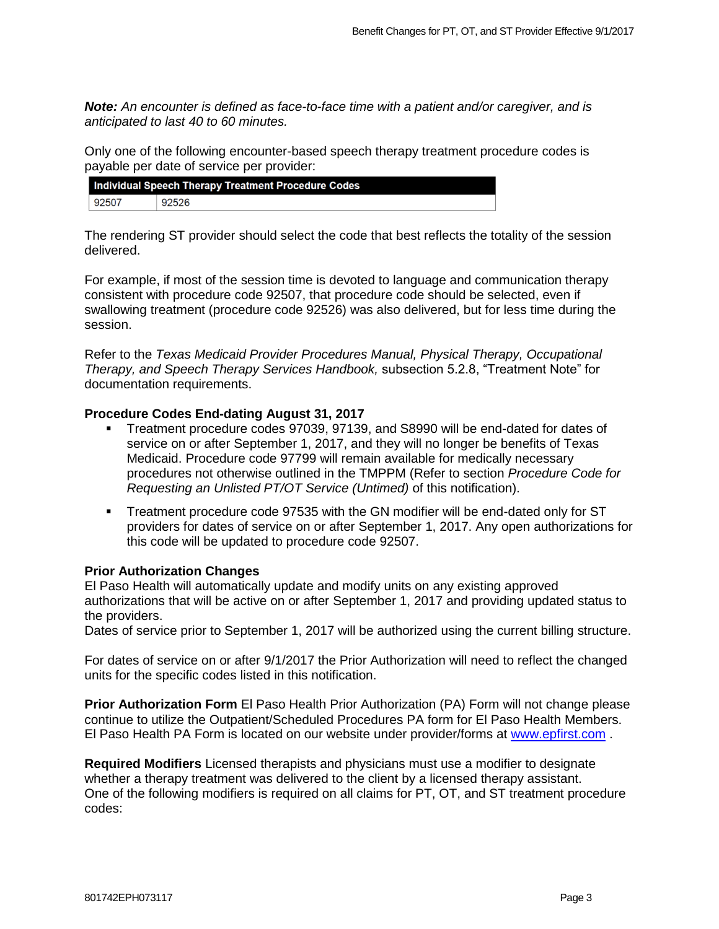*Note: An encounter is defined as face-to-face time with a patient and/or caregiver, and is anticipated to last 40 to 60 minutes.* 

Only one of the following encounter-based speech therapy treatment procedure codes is payable per date of service per provider:

| <b>Individual Speech Therapy Treatment Procedure Codes</b> |       |
|------------------------------------------------------------|-------|
| 92507                                                      | 92526 |

The rendering ST provider should select the code that best reflects the totality of the session delivered.

For example, if most of the session time is devoted to language and communication therapy consistent with procedure code 92507, that procedure code should be selected, even if swallowing treatment (procedure code 92526) was also delivered, but for less time during the session.

Refer to the *Texas Medicaid Provider Procedures Manual, Physical Therapy, Occupational Therapy, and Speech Therapy Services Handbook,* subsection 5.2.8, "Treatment Note" for documentation requirements.

## **Procedure Codes End-dating August 31, 2017**

- Treatment procedure codes 97039, 97139, and S8990 will be end-dated for dates of service on or after September 1, 2017, and they will no longer be benefits of Texas Medicaid. Procedure code 97799 will remain available for medically necessary procedures not otherwise outlined in the TMPPM (Refer to section *Procedure Code for Requesting an Unlisted PT/OT Service (Untimed)* of this notification).
- Treatment procedure code 97535 with the GN modifier will be end-dated only for ST providers for dates of service on or after September 1, 2017. Any open authorizations for this code will be updated to procedure code 92507.

#### **Prior Authorization Changes**

El Paso Health will automatically update and modify units on any existing approved authorizations that will be active on or after September 1, 2017 and providing updated status to the providers.

Dates of service prior to September 1, 2017 will be authorized using the current billing structure.

For dates of service on or after 9/1/2017 the Prior Authorization will need to reflect the changed units for the specific codes listed in this notification.

**Prior Authorization Form** El Paso Health Prior Authorization (PA) Form will not change please continue to utilize the Outpatient/Scheduled Procedures PA form for El Paso Health Members. El Paso Health PA Form is located on our website under provider/forms at [www.epfirst.com](http://www.epfirst.com/).

**Required Modifiers** Licensed therapists and physicians must use a modifier to designate whether a therapy treatment was delivered to the client by a licensed therapy assistant. One of the following modifiers is required on all claims for PT, OT, and ST treatment procedure codes: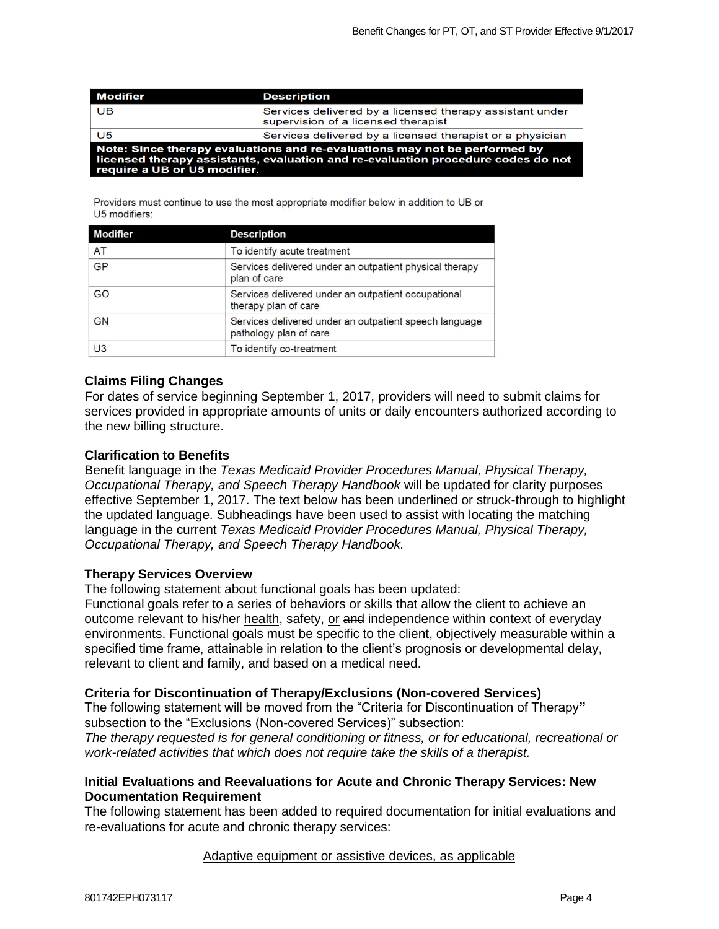| <b>Modifier</b>                                                                                                                                                                                | <b>Description</b>                                                                              |  |
|------------------------------------------------------------------------------------------------------------------------------------------------------------------------------------------------|-------------------------------------------------------------------------------------------------|--|
| UB                                                                                                                                                                                             | Services delivered by a licensed therapy assistant under<br>supervision of a licensed therapist |  |
| U5                                                                                                                                                                                             | Services delivered by a licensed therapist or a physician                                       |  |
| Note: Since therapy evaluations and re-evaluations may not be performed by<br>licensed therapy assistants, evaluation and re-evaluation procedure codes do not<br>require a UB or U5 modifier. |                                                                                                 |  |

Providers must continue to use the most appropriate modifier below in addition to UB or U5 modifiers:

| <b>Modifier</b> | <b>Description</b>                                                               |
|-----------------|----------------------------------------------------------------------------------|
| AT              | To identify acute treatment                                                      |
| GP              | Services delivered under an outpatient physical therapy<br>plan of care          |
| GO              | Services delivered under an outpatient occupational<br>therapy plan of care      |
| GN              | Services delivered under an outpatient speech language<br>pathology plan of care |
| U <sub>3</sub>  | To identify co-treatment                                                         |

## **Claims Filing Changes**

For dates of service beginning September 1, 2017, providers will need to submit claims for services provided in appropriate amounts of units or daily encounters authorized according to the new billing structure.

#### **Clarification to Benefits**

Benefit language in the *Texas Medicaid Provider Procedures Manual, Physical Therapy, Occupational Therapy, and Speech Therapy Handbook* will be updated for clarity purposes effective September 1, 2017. The text below has been underlined or struck-through to highlight the updated language. Subheadings have been used to assist with locating the matching language in the current *Texas Medicaid Provider Procedures Manual, Physical Therapy, Occupational Therapy, and Speech Therapy Handbook.* 

#### **Therapy Services Overview**

The following statement about functional goals has been updated:

Functional goals refer to a series of behaviors or skills that allow the client to achieve an outcome relevant to his/her health, safety, or and independence within context of everyday environments. Functional goals must be specific to the client, objectively measurable within a specified time frame, attainable in relation to the client's prognosis or developmental delay, relevant to client and family, and based on a medical need.

#### **Criteria for Discontinuation of Therapy/Exclusions (Non-covered Services)**

The following statement will be moved from the "Criteria for Discontinuation of Therapy**"**  subsection to the "Exclusions (Non-covered Services)" subsection:

*The therapy requested is for general conditioning or fitness, or for educational, recreational or work-related activities that which does not require take the skills of a therapist.* 

## **Initial Evaluations and Reevaluations for Acute and Chronic Therapy Services: New Documentation Requirement**

The following statement has been added to required documentation for initial evaluations and re-evaluations for acute and chronic therapy services:

#### Adaptive equipment or assistive devices, as applicable